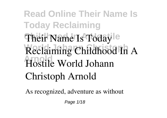## **Read Online Their Name Is Today Reclaiming** Their Name Is Today<sup>le</sup> Reclaiming Childhood In A **Arnold Hostile World Johann Christoph Arnold**

As recognized, adventure as without

Page 1/18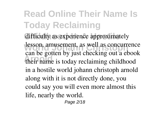## **Read Online Their Name Is Today Reclaiming**

difficulty as experience approximately lesson, amusement, as well as concurrence **Arnold their name is today reclaiming childhood** can be gotten by just checking out a ebook **in a hostile world johann christoph arnold** along with it is not directly done, you could say you will even more almost this life, nearly the world.

Page 2/18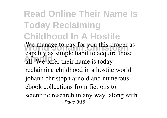**Read Online Their Name Is Today Reclaiming Childhood In A Hostile** We manage to pay for you this proper as all. We offer their name is today capably as simple habit to acquire those reclaiming childhood in a hostile world johann christoph arnold and numerous ebook collections from fictions to scientific research in any way. along with Page 3/18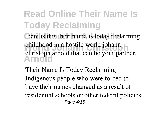**Read Online Their Name Is Today Reclaiming** them is this their name is today reclaiming childhood in a hostile world johann **Arnold** christoph arnold that can be your partner.

**Their Name Is Today Reclaiming** Indigenous people who were forced to have their names changed as a result of residential schools or other federal policies Page 4/18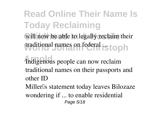**Read Online Their Name Is Today Reclaiming** will now be able to legally reclaim their traditional names on federal .stoph **Arnold Indigenous people can now reclaim traditional names on their passports and other ID** Miller<sup>[]</sup>s statement today leaves Bilozaze wondering if ... to enable residential Page 5/18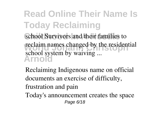**Read Online Their Name Is Today Reclaiming** school Survivors and their families to reclaim names changed by the residential **Arnold** school system by waiving ...

**Reclaiming Indigenous name on official documents an exercise of difficulty, frustration and pain**

Today's announcement creates the space Page 6/18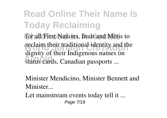**Read Online Their Name Is Today Reclaiming** for all First Nations, Inuit and Métis to reclaim their traditional identity and the **Arnold** status cards, Canadian passports ... dignity of their Indigenous names on

**Minister Mendicino, Minister Bennett and Minister...**

Let mainstream events today tell it ... Page 7/18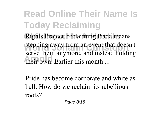**Read Online Their Name Is Today Reclaiming** Rights Project, reclaiming Pride means stepping away from an event that doesn't their own. Earlier this month ... serve them anymore, and instead holding

**Pride has become corporate and white as hell. How do we reclaim its rebellious roots?**

Page 8/18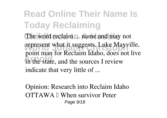**Read Online Their Name Is Today Reclaiming** The word reclaim ... name and may not represent what it suggests. Luke Mayville, in the state, and the sources I review point man for Reclaim Idaho, does not live indicate that very little of ...

**Opinion: Research into Reclaim Idaho**  $\overline{\text{OTTAWA}}$   $\parallel$  When survivor Peter Page 9/18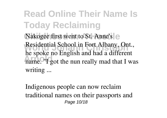**Read Online Their Name Is Today Reclaiming** Nakogee first went to St. Anne's e **Residential School in Fort Albany, Ont.,** have the *English* and had a direction<br>
name. "I got the nun really mad that I was he spoke no English and had a different writing ...

**Indigenous people can now reclaim traditional names on their passports and** Page 10/18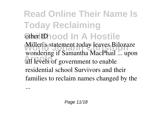**Read Online Their Name Is Today Reclaiming Gther ID l n**  $A$ **Hostile Miller**lls statement today leaves Bilozaze Architecture is a summarized that wondering if Samantha MacPhail ... upon residential school Survivors and their families to reclaim names changed by the

...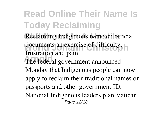**Read Online Their Name Is Today Reclaiming** Reclaiming Indigenous name on official **documents an exercise of difficulty, Arnold** The federal government announced **frustration and pain** Monday that Indigenous people can now apply to reclaim their traditional names on passports and other government ID. National Indigenous leaders plan Vatican Page 12/18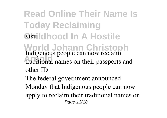**Read Online Their Name Is Today Reclaiming Wisit Lathood In A Hostile World Johann Christoph Arnold traditional names on their passports and Indigenous people can now reclaim other ID**

The federal government announced Monday that Indigenous people can now apply to reclaim their traditional names on Page 13/18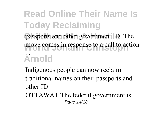## **Read Online Their Name Is Today Reclaiming** passports and other government ID. The move comes in response to a call to action **Arnold** ...

**Indigenous people can now reclaim traditional names on their passports and other ID**  $OTTAWA \, \mathbb{I}$  The federal government is

Page 14/18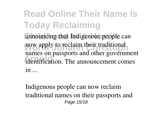**Read Online Their Name Is Today Reclaiming** announcing that Indigenous people can now apply to reclaim their traditional dentification. The announcement comes names on passports and other government in ...

**Indigenous people can now reclaim traditional names on their passports and** Page 15/18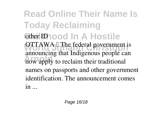**Read Online Their Name Is Today Reclaiming Gther ID l n**  $A$ **Hostile OTTAWA L** The federal government is **Arnold** now apply to reclaim their traditional announcing that Indigenous people can names on passports and other government identification. The announcement comes in ...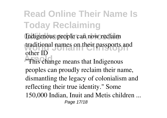**Read Online Their Name Is Today Reclaiming**

Indigenous people can now reclaim **traditional names on their passports and other ID**

**This change means that Indigenous** peoples can proudly reclaim their name, dismantling the legacy of colonialism and reflecting their true identity." Some 150,000 Indian, Inuit and Metis children ... Page 17/18